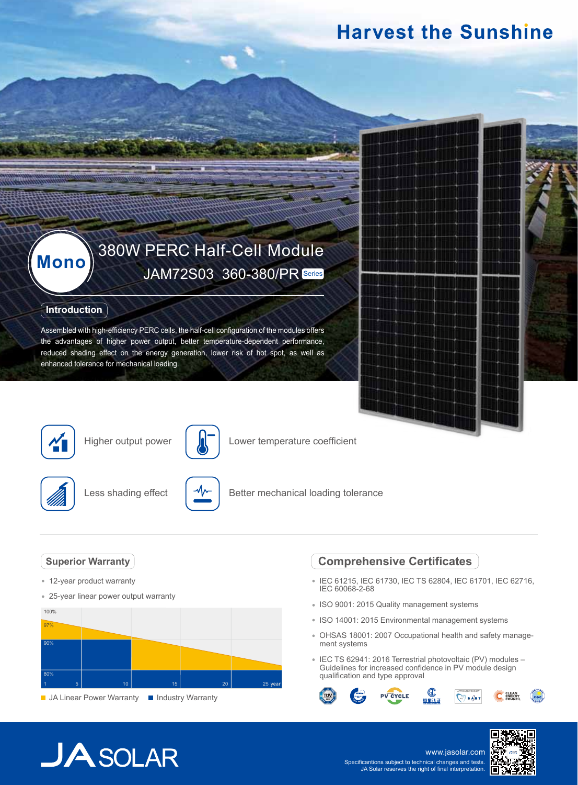## **Harvest the Sunshine**

# **Mono** 380W PERC Half-Cell Module<br>JAM72S03 360-380/PR Series

### **Introduction**

Assembled with high-efficiency PERC cells, the half-cell configuration of the modules offers the advantages of higher power output, better temperature-dependent performance, reduced shading effect on the energy generation, lower risk of hot spot, as well as enhanced tolerance for mechanical loading.



Higher output power



Lower temperature coefficient



Less shading effect



Better mechanical loading tolerance

### **Superior Warranty**

- 12-year product warranty
- 25-year linear power output warranty



**JA Linear Power Warranty III Industry Warranty** 

## **Comprehensive Certificates**

- IEC 61215, IEC 61730, IEC TS 62804, IEC 61701, IEC 62716, IEC 60068-2-68
- ISO 9001: 2015 Quality management systems
- ISO 14001: 2015 Environmental management systems
- OHSAS 18001: 2007 Occupational health and safety management systems
- IEC TS 62941: 2016 Terrestrial photovoltaic (PV) modules Guidelines for increased confidence in PV module design qualification and type approval



## $JASOLAR$

www.jasolar.com Specificantions subject to technical changes and tests. JA Solar reserves the right of final interpretation.